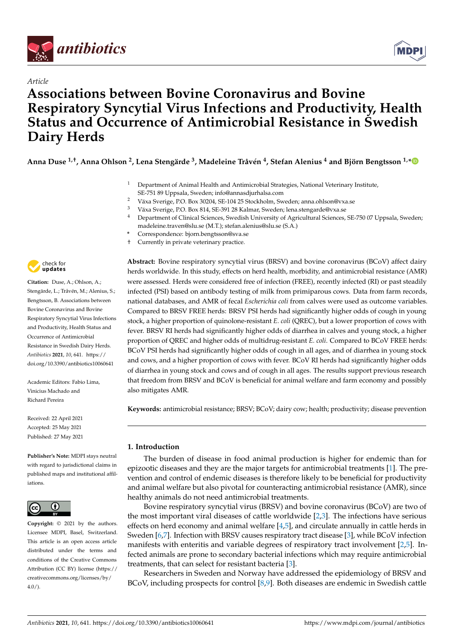

*Article*



# **Associations between Bovine Coronavirus and Bovine Respiratory Syncytial Virus Infections and Productivity, Health Status and Occurrence of Antimicrobial Resistance in Swedish Dairy Herds**

**Anna Duse 1,†, Anna Ohlson <sup>2</sup> , Lena Stengärde <sup>3</sup> , Madeleine Tråvén 4 , Stefan Alenius <sup>4</sup> and Björn Bengtsson 1,[\\*](https://orcid.org/0000-0002-2012-0515)**

- <sup>1</sup> Department of Animal Health and Antimicrobial Strategies, National Veterinary Institute, SE-751 89 Uppsala, Sweden; info@annasdjurhalsa.com
- <sup>2</sup> Växa Sverige, P.O. Box 30204, SE-104 25 Stockholm, Sweden; anna.ohlson@vxa.se
- <sup>3</sup> Växa Sverige, P.O. Box 814, SE-391 28 Kalmar, Sweden; lena.stengarde@vxa.se
- Department of Clinical Sciences, Swedish University of Agricultural Sciences, SE-750 07 Uppsala, Sweden; madeleine.traven@slu.se (M.T.); stefan.alenius@slu.se (S.A.)
- **\*** Correspondence: bjorn.bengtsson@sva.se
- † Currently in private veterinary practice.



**Citation:** Duse, A.; Ohlson, A.; Stengärde, L.; Tråvén, M.; Alenius, S.; Bengtsson, B. Associations between Bovine Coronavirus and Bovine Respiratory Syncytial Virus Infections and Productivity, Health Status and Occurrence of Antimicrobial Resistance in Swedish Dairy Herds. *Antibiotics* **2021**, *10*, 641. [https://](https://doi.org/10.3390/antibiotics10060641) [doi.org/10.3390/antibiotics10060641](https://doi.org/10.3390/antibiotics10060641)

Academic Editors: Fabio Lima, Vinicius Machado and Richard Pereira

Received: 22 April 2021 Accepted: 25 May 2021 Published: 27 May 2021

**Publisher's Note:** MDPI stays neutral with regard to jurisdictional claims in published maps and institutional affiliations.



**Copyright:** © 2021 by the authors. Licensee MDPI, Basel, Switzerland. This article is an open access article distributed under the terms and conditions of the Creative Commons Attribution (CC BY) license (https:/[/](https://creativecommons.org/licenses/by/4.0/) [creativecommons.org/licenses/by/](https://creativecommons.org/licenses/by/4.0/)  $4.0/$ ).

**Abstract:** Bovine respiratory syncytial virus (BRSV) and bovine coronavirus (BCoV) affect dairy herds worldwide. In this study, effects on herd health, morbidity, and antimicrobial resistance (AMR) were assessed. Herds were considered free of infection (FREE), recently infected (RI) or past steadily infected (PSI) based on antibody testing of milk from primiparous cows. Data from farm records, national databases, and AMR of fecal *Escherichia coli* from calves were used as outcome variables. Compared to BRSV FREE herds: BRSV PSI herds had significantly higher odds of cough in young stock, a higher proportion of quinolone-resistant *E. coli* (QREC), but a lower proportion of cows with fever. BRSV RI herds had significantly higher odds of diarrhea in calves and young stock, a higher proportion of QREC and higher odds of multidrug-resistant *E. coli*. Compared to BCoV FREE herds: BCoV PSI herds had significantly higher odds of cough in all ages, and of diarrhea in young stock and cows, and a higher proportion of cows with fever. BCoV RI herds had significantly higher odds of diarrhea in young stock and cows and of cough in all ages. The results support previous research that freedom from BRSV and BCoV is beneficial for animal welfare and farm economy and possibly also mitigates AMR.

**Keywords:** antimicrobial resistance; BRSV; BCoV; dairy cow; health; productivity; disease prevention

# **1. Introduction**

The burden of disease in food animal production is higher for endemic than for epizootic diseases and they are the major targets for antimicrobial treatments [\[1\]](#page-11-0). The prevention and control of endemic diseases is therefore likely to be beneficial for productivity and animal welfare but also pivotal for counteracting antimicrobial resistance (AMR), since healthy animals do not need antimicrobial treatments.

Bovine respiratory syncytial virus (BRSV) and bovine coronavirus (BCoV) are two of the most important viral diseases of cattle worldwide [\[2](#page-11-1)[,3\]](#page-11-2). The infections have serious effects on herd economy and animal welfare [\[4,](#page-11-3)[5\]](#page-11-4), and circulate annually in cattle herds in Sweden [\[6](#page-11-5)[,7\]](#page-11-6). Infection with BRSV causes respiratory tract disease [\[3\]](#page-11-2), while BCoV infection manifests with enteritis and variable degrees of respiratory tract involvement [\[2,](#page-11-1)[5\]](#page-11-4). Infected animals are prone to secondary bacterial infections which may require antimicrobial treatments, that can select for resistant bacteria [\[3\]](#page-11-2).

Researchers in Sweden and Norway have addressed the epidemiology of BRSV and BCoV, including prospects for control [\[8](#page-11-7)[,9\]](#page-11-8). Both diseases are endemic in Swedish cattle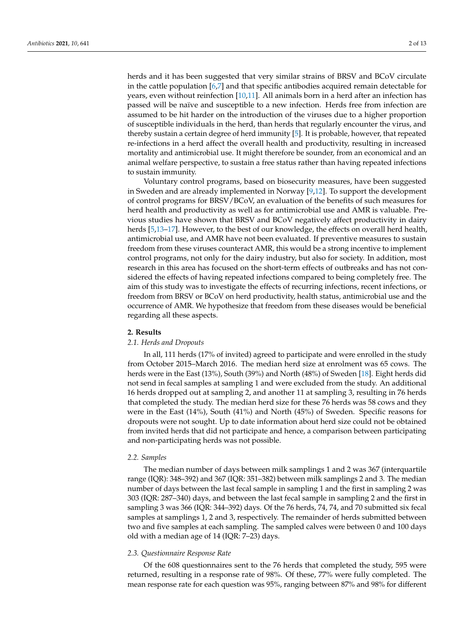herds and it has been suggested that very similar strains of BRSV and BCoV circulate in the cattle population [\[6](#page-11-5)[,7\]](#page-11-6) and that specific antibodies acquired remain detectable for years, even without reinfection [\[10](#page-11-9)[,11\]](#page-12-0). All animals born in a herd after an infection has passed will be naïve and susceptible to a new infection. Herds free from infection are assumed to be hit harder on the introduction of the viruses due to a higher proportion of susceptible individuals in the herd, than herds that regularly encounter the virus, and thereby sustain a certain degree of herd immunity [\[5\]](#page-11-4). It is probable, however, that repeated re-infections in a herd affect the overall health and productivity, resulting in increased mortality and antimicrobial use. It might therefore be sounder, from an economical and an animal welfare perspective, to sustain a free status rather than having repeated infections to sustain immunity.

Voluntary control programs, based on biosecurity measures, have been suggested in Sweden and are already implemented in Norway [\[9,](#page-11-8)[12\]](#page-12-1). To support the development of control programs for BRSV/BCoV, an evaluation of the benefits of such measures for herd health and productivity as well as for antimicrobial use and AMR is valuable. Previous studies have shown that BRSV and BCoV negatively affect productivity in dairy herds [\[5,](#page-11-4)[13](#page-12-2)[–17\]](#page-12-3). However, to the best of our knowledge, the effects on overall herd health, antimicrobial use, and AMR have not been evaluated. If preventive measures to sustain freedom from these viruses counteract AMR, this would be a strong incentive to implement control programs, not only for the dairy industry, but also for society. In addition, most research in this area has focused on the short-term effects of outbreaks and has not considered the effects of having repeated infections compared to being completely free. The aim of this study was to investigate the effects of recurring infections, recent infections, or freedom from BRSV or BCoV on herd productivity, health status, antimicrobial use and the occurrence of AMR. We hypothesize that freedom from these diseases would be beneficial regarding all these aspects.

## **2. Results**

## *2.1. Herds and Dropouts*

In all, 111 herds (17% of invited) agreed to participate and were enrolled in the study from October 2015–March 2016. The median herd size at enrolment was 65 cows. The herds were in the East (13%), South (39%) and North (48%) of Sweden [\[18\]](#page-12-4). Eight herds did not send in fecal samples at sampling 1 and were excluded from the study. An additional 16 herds dropped out at sampling 2, and another 11 at sampling 3, resulting in 76 herds that completed the study. The median herd size for these 76 herds was 58 cows and they were in the East (14%), South (41%) and North (45%) of Sweden. Specific reasons for dropouts were not sought. Up to date information about herd size could not be obtained from invited herds that did not participate and hence, a comparison between participating and non-participating herds was not possible.

## *2.2. Samples*

The median number of days between milk samplings 1 and 2 was 367 (interquartile range (IQR): 348–392) and 367 (IQR: 351–382) between milk samplings 2 and 3. The median number of days between the last fecal sample in sampling 1 and the first in sampling 2 was 303 (IQR: 287–340) days, and between the last fecal sample in sampling 2 and the first in sampling 3 was 366 (IQR: 344–392) days. Of the 76 herds, 74, 74, and 70 submitted six fecal samples at samplings 1, 2 and 3, respectively. The remainder of herds submitted between two and five samples at each sampling. The sampled calves were between 0 and 100 days old with a median age of 14 (IQR: 7–23) days.

# *2.3. Questionnaire Response Rate*

Of the 608 questionnaires sent to the 76 herds that completed the study, 595 were returned, resulting in a response rate of 98%. Of these, 77% were fully completed. The mean response rate for each question was 95%, ranging between 87% and 98% for different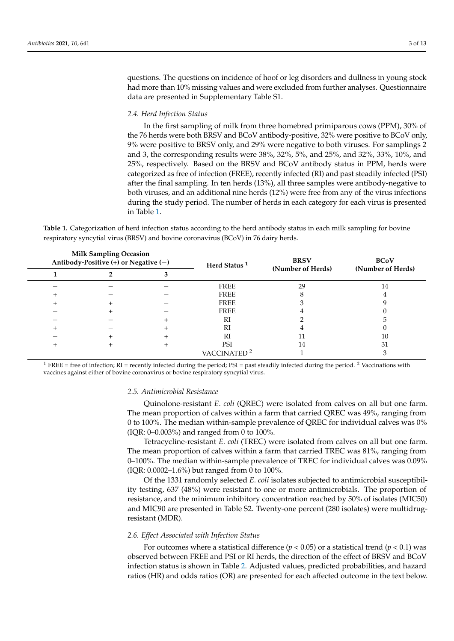questions. The questions on incidence of hoof or leg disorders and dullness in young stock had more than 10% missing values and were excluded from further analyses. Questionnaire data are presented in Supplementary Table S1.

# *2.4. Herd Infection Status*

In the first sampling of milk from three homebred primiparous cows (PPM), 30% of the 76 herds were both BRSV and BCoV antibody-positive, 32% were positive to BCoV only, 9% were positive to BRSV only, and 29% were negative to both viruses. For samplings 2 and 3, the corresponding results were 38%, 32%, 5%, and 25%, and 32%, 33%, 10%, and 25%, respectively. Based on the BRSV and BCoV antibody status in PPM, herds were categorized as free of infection (FREE), recently infected (RI) and past steadily infected (PSI) after the final sampling. In ten herds (13%), all three samples were antibody-negative to both viruses, and an additional nine herds (12%) were free from any of the virus infections during the study period. The number of herds in each category for each virus is presented in Table [1.](#page-2-0)

| <b>Milk Sampling Occasion</b><br>Antibody-Positive (+) or Negative (-) |  |  | Herd Status <sup>1</sup> | <b>BRSV</b>       | <b>BCoV</b>       |  |
|------------------------------------------------------------------------|--|--|--------------------------|-------------------|-------------------|--|
|                                                                        |  |  |                          | (Number of Herds) | (Number of Herds) |  |
|                                                                        |  |  | FREE                     | 29                | 14                |  |
|                                                                        |  |  | FREE                     |                   |                   |  |
|                                                                        |  |  | FREE                     |                   |                   |  |
|                                                                        |  |  | <b>FREE</b>              |                   |                   |  |
|                                                                        |  |  | RI                       |                   |                   |  |
|                                                                        |  |  | <b>RI</b>                |                   |                   |  |
|                                                                        |  |  | RI                       |                   | 10                |  |
|                                                                        |  |  | PSI                      | 14                | 31                |  |
|                                                                        |  |  | VACCINATED <sup>2</sup>  |                   |                   |  |

<span id="page-2-0"></span>**Table 1.** Categorization of herd infection status according to the herd antibody status in each milk sampling for bovine respiratory syncytial virus (BRSV) and bovine coronavirus (BCoV) in 76 dairy herds.

<sup>1</sup> FREE = free of infection; RI = recently infected during the period; PSI = past steadily infected during the period. <sup>2</sup> Vaccinations with vaccines against either of bovine coronavirus or bovine respiratory syncytial virus.

#### *2.5. Antimicrobial Resistance*

Quinolone-resistant *E. coli* (QREC) were isolated from calves on all but one farm. The mean proportion of calves within a farm that carried QREC was 49%, ranging from 0 to 100%. The median within-sample prevalence of QREC for individual calves was 0% (IQR: 0–0.003%) and ranged from 0 to 100%.

Tetracycline-resistant *E. coli* (TREC) were isolated from calves on all but one farm. The mean proportion of calves within a farm that carried TREC was 81%, ranging from 0–100%. The median within-sample prevalence of TREC for individual calves was 0.09% (IQR: 0.0002–1.6%) but ranged from 0 to 100%.

Of the 1331 randomly selected *E. coli* isolates subjected to antimicrobial susceptibility testing, 637 (48%) were resistant to one or more antimicrobials. The proportion of resistance, and the minimum inhibitory concentration reached by 50% of isolates (MIC50) and MIC90 are presented in Table S2. Twenty-one percent (280 isolates) were multidrugresistant (MDR).

## *2.6. Effect Associated with Infection Status*

For outcomes where a statistical difference ( $p < 0.05$ ) or a statistical trend ( $p < 0.1$ ) was observed between FREE and PSI or RI herds, the direction of the effect of BRSV and BCoV infection status is shown in Table [2.](#page-3-0) Adjusted values, predicted probabilities, and hazard ratios (HR) and odds ratios (OR) are presented for each affected outcome in the text below.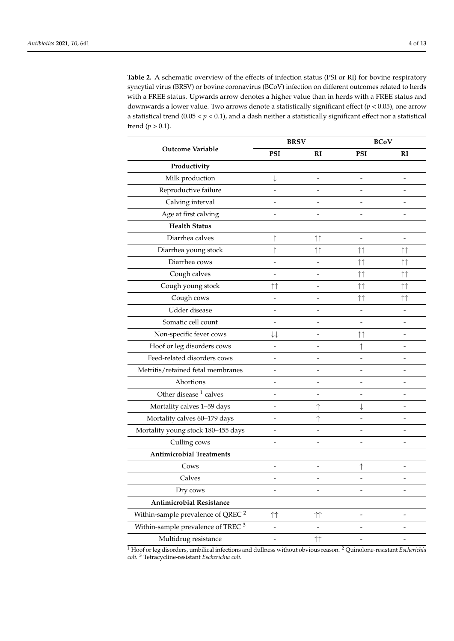<span id="page-3-0"></span>**Table 2.** A schematic overview of the effects of infection status (PSI or RI) for bovine respiratory syncytial virus (BRSV) or bovine coronavirus (BCoV) infection on different outcomes related to herds with a FREE status. Upwards arrow denotes a higher value than in herds with a FREE status and downwards a lower value. Two arrows denote a statistically significant effect (*p* < 0.05), one arrow a statistical trend (0.05 < *p* < 0.1), and a dash neither a statistically significant effect nor a statistical trend ( $p > 0.1$ ).

|                                               | <b>BRSV</b>              |                          | <b>BCoV</b>        |                          |
|-----------------------------------------------|--------------------------|--------------------------|--------------------|--------------------------|
| <b>Outcome Variable</b>                       | <b>PSI</b>               | R1                       | <b>PSI</b>         | RI                       |
| Productivity                                  |                          |                          |                    |                          |
| Milk production                               | ↓                        |                          |                    |                          |
| Reproductive failure                          |                          |                          |                    |                          |
| Calving interval                              |                          |                          |                    |                          |
| Age at first calving                          |                          |                          |                    |                          |
| <b>Health Status</b>                          |                          |                          |                    |                          |
| Diarrhea calves                               | ↑                        | 什                        | $\overline{a}$     | $\overline{\phantom{m}}$ |
| Diarrhea young stock                          | ↑                        | 个个                       | ↑↑                 | 什                        |
| Diarrhea cows                                 | $\overline{a}$           |                          | ↑↑                 | 什                        |
| Cough calves                                  |                          |                          | $\uparrow\uparrow$ | 什                        |
| Cough young stock                             | $\uparrow\uparrow$       |                          | ↑↑                 | $\uparrow\uparrow$       |
| Cough cows                                    |                          |                          | ↑↑                 | ↑↑                       |
| Udder disease                                 |                          |                          |                    |                          |
| Somatic cell count                            |                          |                          |                    |                          |
| Non-specific fever cows                       | ↓↓                       |                          | ↑↑                 |                          |
| Hoof or leg disorders cows                    |                          |                          |                    |                          |
| Feed-related disorders cows                   |                          |                          |                    |                          |
| Metritis/retained fetal membranes             |                          |                          |                    |                          |
| Abortions                                     |                          |                          |                    |                          |
| Other disease <sup>1</sup> calves             | ٠                        |                          |                    |                          |
| Mortality calves 1-59 days                    |                          | ↑                        |                    |                          |
| Mortality calves 60-179 days                  | $\overline{a}$           |                          |                    |                          |
| Mortality young stock 180-455 days            |                          |                          |                    |                          |
| Culling cows                                  |                          |                          |                    |                          |
| <b>Antimicrobial Treatments</b>               |                          |                          |                    |                          |
| Cows                                          | $\overline{a}$           | $\overline{a}$           | ↑                  | ۳                        |
| Calves                                        |                          |                          |                    |                          |
| Dry cows                                      | $\overline{\phantom{a}}$ | $\overline{\phantom{a}}$ | $\overline{a}$     | $\overline{\phantom{0}}$ |
| Antimicrobial Resistance                      |                          |                          |                    |                          |
| Within-sample prevalence of QREC <sup>2</sup> | 什                        | $\uparrow\uparrow$       |                    |                          |
| Within-sample prevalence of TREC <sup>3</sup> | $\overline{\phantom{a}}$ | $\overline{\phantom{a}}$ |                    | $\overline{a}$           |
| Multidrug resistance                          | $\overline{a}$           | 什                        |                    |                          |

<sup>1</sup> Hoof or leg disorders, umbilical infections and dullness without obvious reason. <sup>2</sup> Quinolone-resistant *Escherichia coli.* <sup>3</sup> Tetracycline-resistant *Escherichia coli.*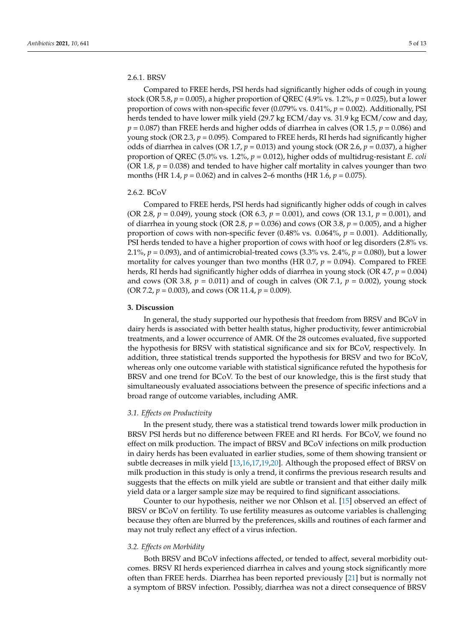# 2.6.1. BRSV

Compared to FREE herds, PSI herds had significantly higher odds of cough in young stock (OR 5.8,  $p = 0.005$ ), a higher proportion of QREC (4.9% vs. 1.2%,  $p = 0.025$ ), but a lower proportion of cows with non-specific fever (0.079% vs. 0.41%, *p* = 0.002). Additionally, PSI herds tended to have lower milk yield (29.7 kg ECM/day vs. 31.9 kg ECM/cow and day,  $p = 0.087$ ) than FREE herds and higher odds of diarrhea in calves (OR 1.5,  $p = 0.086$ ) and young stock (OR 2.3,  $p = 0.095$ ). Compared to FREE herds, RI herds had significantly higher odds of diarrhea in calves (OR 1.7, *p* = 0.013) and young stock (OR 2.6, *p* = 0.037), a higher proportion of QREC (5.0% vs. 1.2%, *p* = 0.012), higher odds of multidrug-resistant *E. coli* (OR 1.8,  $p = 0.038$ ) and tended to have higher calf mortality in calves younger than two months (HR 1.4, *p* = 0.062) and in calves 2–6 months (HR 1.6, *p* = 0.075).

## 2.6.2. BCoV

Compared to FREE herds, PSI herds had significantly higher odds of cough in calves (OR 2.8, *p* = 0.049), young stock (OR 6.3, *p* = 0.001), and cows (OR 13.1, *p* = 0.001), and of diarrhea in young stock (OR 2.8, *p* = 0.036) and cows (OR 3.8, *p* = 0.005), and a higher proportion of cows with non-specific fever (0.48% vs. 0.064%, *p* = 0.001). Additionally, PSI herds tended to have a higher proportion of cows with hoof or leg disorders (2.8% vs. 2.1%, *p* = 0.093), and of antimicrobial-treated cows (3.3% vs. 2.4%, *p* = 0.080), but a lower mortality for calves younger than two months (HR  $0.7$ ,  $p = 0.094$ ). Compared to FREE herds, RI herds had significantly higher odds of diarrhea in young stock (OR 4.7, *p* = 0.004) and cows (OR 3.8,  $p = 0.011$ ) and of cough in calves (OR 7.1,  $p = 0.002$ ), young stock (OR 7.2, *p* = 0.003), and cows (OR 11.4, *p* = 0.009).

## **3. Discussion**

In general, the study supported our hypothesis that freedom from BRSV and BCoV in dairy herds is associated with better health status, higher productivity, fewer antimicrobial treatments, and a lower occurrence of AMR. Of the 28 outcomes evaluated, five supported the hypothesis for BRSV with statistical significance and six for BCoV, respectively. In addition, three statistical trends supported the hypothesis for BRSV and two for BCoV, whereas only one outcome variable with statistical significance refuted the hypothesis for BRSV and one trend for BCoV. To the best of our knowledge, this is the first study that simultaneously evaluated associations between the presence of specific infections and a broad range of outcome variables, including AMR.

## *3.1. Effects on Productivity*

In the present study, there was a statistical trend towards lower milk production in BRSV PSI herds but no difference between FREE and RI herds. For BCoV, we found no effect on milk production. The impact of BRSV and BCoV infections on milk production in dairy herds has been evaluated in earlier studies, some of them showing transient or subtle decreases in milk yield [\[13,](#page-12-2)[16,](#page-12-5)[17,](#page-12-3)[19,](#page-12-6)[20\]](#page-12-7). Although the proposed effect of BRSV on milk production in this study is only a trend, it confirms the previous research results and suggests that the effects on milk yield are subtle or transient and that either daily milk yield data or a larger sample size may be required to find significant associations.

Counter to our hypothesis, neither we nor Ohlson et al. [\[15\]](#page-12-8) observed an effect of BRSV or BCoV on fertility. To use fertility measures as outcome variables is challenging because they often are blurred by the preferences, skills and routines of each farmer and may not truly reflect any effect of a virus infection.

# *3.2. Effects on Morbidity*

Both BRSV and BCoV infections affected, or tended to affect, several morbidity outcomes. BRSV RI herds experienced diarrhea in calves and young stock significantly more often than FREE herds. Diarrhea has been reported previously [\[21\]](#page-12-9) but is normally not a symptom of BRSV infection. Possibly, diarrhea was not a direct consequence of BRSV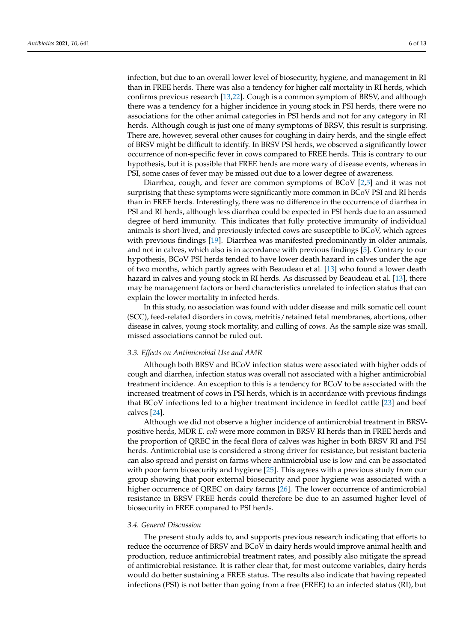infection, but due to an overall lower level of biosecurity, hygiene, and management in RI than in FREE herds. There was also a tendency for higher calf mortality in RI herds, which confirms previous research [\[13](#page-12-2)[,22\]](#page-12-10). Cough is a common symptom of BRSV, and although there was a tendency for a higher incidence in young stock in PSI herds, there were no associations for the other animal categories in PSI herds and not for any category in RI herds. Although cough is just one of many symptoms of BRSV, this result is surprising. There are, however, several other causes for coughing in dairy herds, and the single effect of BRSV might be difficult to identify. In BRSV PSI herds, we observed a significantly lower occurrence of non-specific fever in cows compared to FREE herds. This is contrary to our hypothesis, but it is possible that FREE herds are more wary of disease events, whereas in PSI, some cases of fever may be missed out due to a lower degree of awareness.

Diarrhea, cough, and fever are common symptoms of BCoV [\[2](#page-11-1)[,5\]](#page-11-4) and it was not surprising that these symptoms were significantly more common in BCoV PSI and RI herds than in FREE herds. Interestingly, there was no difference in the occurrence of diarrhea in PSI and RI herds, although less diarrhea could be expected in PSI herds due to an assumed degree of herd immunity. This indicates that fully protective immunity of individual animals is short-lived, and previously infected cows are susceptible to BCoV, which agrees with previous findings [\[19\]](#page-12-6). Diarrhea was manifested predominantly in older animals, and not in calves, which also is in accordance with previous findings [\[5\]](#page-11-4). Contrary to our hypothesis, BCoV PSI herds tended to have lower death hazard in calves under the age of two months, which partly agrees with Beaudeau et al. [\[13\]](#page-12-2) who found a lower death hazard in calves and young stock in RI herds. As discussed by Beaudeau et al. [\[13\]](#page-12-2), there may be management factors or herd characteristics unrelated to infection status that can explain the lower mortality in infected herds.

In this study, no association was found with udder disease and milk somatic cell count (SCC), feed-related disorders in cows, metritis/retained fetal membranes, abortions, other disease in calves, young stock mortality, and culling of cows. As the sample size was small, missed associations cannot be ruled out.

# *3.3. Effects on Antimicrobial Use and AMR*

Although both BRSV and BCoV infection status were associated with higher odds of cough and diarrhea, infection status was overall not associated with a higher antimicrobial treatment incidence. An exception to this is a tendency for BCoV to be associated with the increased treatment of cows in PSI herds, which is in accordance with previous findings that BCoV infections led to a higher treatment incidence in feedlot cattle [\[23\]](#page-12-11) and beef calves [\[24\]](#page-12-12).

Although we did not observe a higher incidence of antimicrobial treatment in BRSVpositive herds, MDR *E. coli* were more common in BRSV RI herds than in FREE herds and the proportion of QREC in the fecal flora of calves was higher in both BRSV RI and PSI herds. Antimicrobial use is considered a strong driver for resistance, but resistant bacteria can also spread and persist on farms where antimicrobial use is low and can be associated with poor farm biosecurity and hygiene [\[25\]](#page-12-13). This agrees with a previous study from our group showing that poor external biosecurity and poor hygiene was associated with a higher occurrence of QREC on dairy farms [\[26\]](#page-12-14). The lower occurrence of antimicrobial resistance in BRSV FREE herds could therefore be due to an assumed higher level of biosecurity in FREE compared to PSI herds.

## *3.4. General Discussion*

The present study adds to, and supports previous research indicating that efforts to reduce the occurrence of BRSV and BCoV in dairy herds would improve animal health and production, reduce antimicrobial treatment rates, and possibly also mitigate the spread of antimicrobial resistance. It is rather clear that, for most outcome variables, dairy herds would do better sustaining a FREE status. The results also indicate that having repeated infections (PSI) is not better than going from a free (FREE) to an infected status (RI), but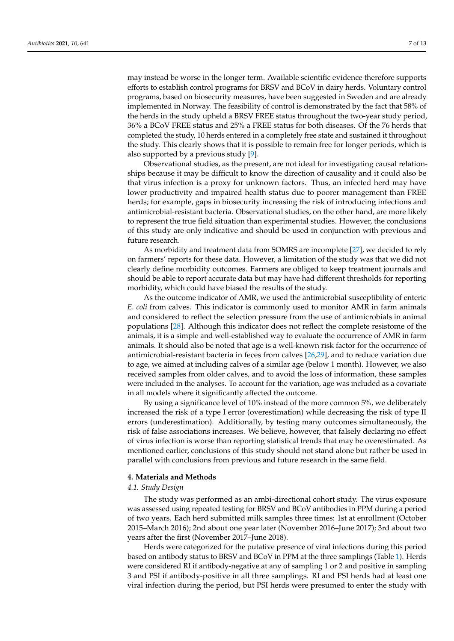may instead be worse in the longer term. Available scientific evidence therefore supports efforts to establish control programs for BRSV and BCoV in dairy herds. Voluntary control programs, based on biosecurity measures, have been suggested in Sweden and are already implemented in Norway. The feasibility of control is demonstrated by the fact that 58% of the herds in the study upheld a BRSV FREE status throughout the two-year study period, 36% a BCoV FREE status and 25% a FREE status for both diseases. Of the 76 herds that completed the study, 10 herds entered in a completely free state and sustained it throughout the study. This clearly shows that it is possible to remain free for longer periods, which is also supported by a previous study [\[9\]](#page-11-8).

Observational studies, as the present, are not ideal for investigating causal relationships because it may be difficult to know the direction of causality and it could also be that virus infection is a proxy for unknown factors. Thus, an infected herd may have lower productivity and impaired health status due to poorer management than FREE herds; for example, gaps in biosecurity increasing the risk of introducing infections and antimicrobial-resistant bacteria. Observational studies, on the other hand, are more likely to represent the true field situation than experimental studies. However, the conclusions of this study are only indicative and should be used in conjunction with previous and future research.

As morbidity and treatment data from SOMRS are incomplete [\[27\]](#page-12-15), we decided to rely on farmers' reports for these data. However, a limitation of the study was that we did not clearly define morbidity outcomes. Farmers are obliged to keep treatment journals and should be able to report accurate data but may have had different thresholds for reporting morbidity, which could have biased the results of the study.

As the outcome indicator of AMR, we used the antimicrobial susceptibility of enteric *E. coli* from calves. This indicator is commonly used to monitor AMR in farm animals and considered to reflect the selection pressure from the use of antimicrobials in animal populations [\[28\]](#page-12-16). Although this indicator does not reflect the complete resistome of the animals, it is a simple and well-established way to evaluate the occurrence of AMR in farm animals. It should also be noted that age is a well-known risk factor for the occurrence of antimicrobial-resistant bacteria in feces from calves [\[26,](#page-12-14)[29\]](#page-12-17), and to reduce variation due to age, we aimed at including calves of a similar age (below 1 month). However, we also received samples from older calves, and to avoid the loss of information, these samples were included in the analyses. To account for the variation, age was included as a covariate in all models where it significantly affected the outcome.

By using a significance level of 10% instead of the more common 5%, we deliberately increased the risk of a type I error (overestimation) while decreasing the risk of type II errors (underestimation). Additionally, by testing many outcomes simultaneously, the risk of false associations increases. We believe, however, that falsely declaring no effect of virus infection is worse than reporting statistical trends that may be overestimated. As mentioned earlier, conclusions of this study should not stand alone but rather be used in parallel with conclusions from previous and future research in the same field.

#### **4. Materials and Methods**

# *4.1. Study Design*

The study was performed as an ambi-directional cohort study. The virus exposure was assessed using repeated testing for BRSV and BCoV antibodies in PPM during a period of two years. Each herd submitted milk samples three times: 1st at enrollment (October 2015–March 2016); 2nd about one year later (November 2016–June 2017); 3rd about two years after the first (November 2017–June 2018).

Herds were categorized for the putative presence of viral infections during this period based on antibody status to BRSV and BCoV in PPM at the three samplings (Table [1\)](#page-2-0). Herds were considered RI if antibody-negative at any of sampling 1 or 2 and positive in sampling 3 and PSI if antibody-positive in all three samplings. RI and PSI herds had at least one viral infection during the period, but PSI herds were presumed to enter the study with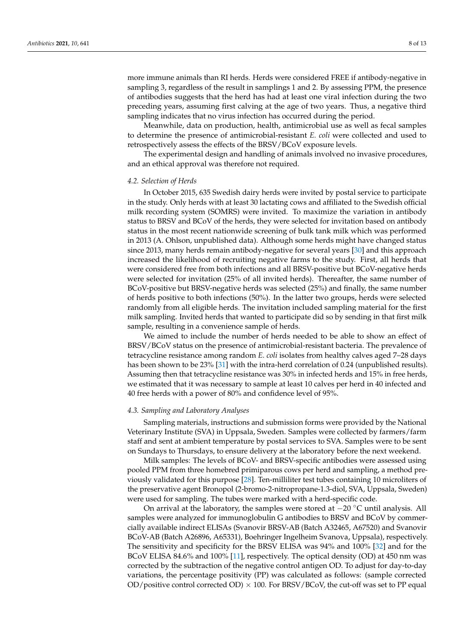more immune animals than RI herds. Herds were considered FREE if antibody-negative in sampling 3, regardless of the result in samplings 1 and 2. By assessing PPM, the presence of antibodies suggests that the herd has had at least one viral infection during the two preceding years, assuming first calving at the age of two years. Thus, a negative third sampling indicates that no virus infection has occurred during the period.

Meanwhile, data on production, health, antimicrobial use as well as fecal samples to determine the presence of antimicrobial-resistant *E. coli* were collected and used to retrospectively assess the effects of the BRSV/BCoV exposure levels.

The experimental design and handling of animals involved no invasive procedures, and an ethical approval was therefore not required.

# *4.2. Selection of Herds*

In October 2015, 635 Swedish dairy herds were invited by postal service to participate in the study. Only herds with at least 30 lactating cows and affiliated to the Swedish official milk recording system (SOMRS) were invited. To maximize the variation in antibody status to BRSV and BCoV of the herds, they were selected for invitation based on antibody status in the most recent nationwide screening of bulk tank milk which was performed in 2013 (A. Ohlson, unpublished data). Although some herds might have changed status since 2013, many herds remain antibody-negative for several years [\[30\]](#page-12-18) and this approach increased the likelihood of recruiting negative farms to the study. First, all herds that were considered free from both infections and all BRSV-positive but BCoV-negative herds were selected for invitation (25% of all invited herds). Thereafter, the same number of BCoV-positive but BRSV-negative herds was selected (25%) and finally, the same number of herds positive to both infections (50%). In the latter two groups, herds were selected randomly from all eligible herds. The invitation included sampling material for the first milk sampling. Invited herds that wanted to participate did so by sending in that first milk sample, resulting in a convenience sample of herds.

We aimed to include the number of herds needed to be able to show an effect of BRSV/BCoV status on the presence of antimicrobial-resistant bacteria. The prevalence of tetracycline resistance among random *E. coli* isolates from healthy calves aged 7–28 days has been shown to be 23% [\[31\]](#page-12-19) with the intra-herd correlation of 0.24 (unpublished results). Assuming then that tetracycline resistance was 30% in infected herds and 15% in free herds, we estimated that it was necessary to sample at least 10 calves per herd in 40 infected and 40 free herds with a power of 80% and confidence level of 95%.

## *4.3. Sampling and Laboratory Analyses*

Sampling materials, instructions and submission forms were provided by the National Veterinary Institute (SVA) in Uppsala, Sweden. Samples were collected by farmers/farm staff and sent at ambient temperature by postal services to SVA. Samples were to be sent on Sundays to Thursdays, to ensure delivery at the laboratory before the next weekend.

Milk samples: The levels of BCoV- and BRSV-specific antibodies were assessed using pooled PPM from three homebred primiparous cows per herd and sampling, a method previously validated for this purpose [\[28\]](#page-12-16). Ten-milliliter test tubes containing 10 microliters of the preservative agent Bronopol (2-bromo-2-nitropropane-1.3-diol, SVA, Uppsala, Sweden) were used for sampling. The tubes were marked with a herd-specific code.

On arrival at the laboratory, the samples were stored at −20 ◦C until analysis. All samples were analyzed for immunoglobulin G antibodies to BRSV and BCoV by commercially available indirect ELISAs (Svanovir BRSV-AB (Batch A32465, A67520) and Svanovir BCoV-AB (Batch A26896, A65331), Boehringer Ingelheim Svanova, Uppsala), respectively. The sensitivity and specificity for the BRSV ELISA was 94% and 100% [\[32\]](#page-12-20) and for the BCoV ELISA 84.6% and 100% [\[11\]](#page-12-0), respectively. The optical density (OD) at 450 nm was corrected by the subtraction of the negative control antigen OD. To adjust for day-to-day variations, the percentage positivity (PP) was calculated as follows: (sample corrected OD/positive control corrected OD)  $\times$  100. For BRSV/BCoV, the cut-off was set to PP equal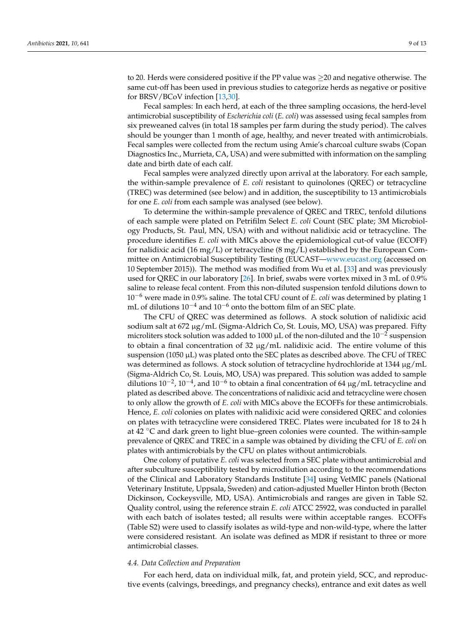to 20. Herds were considered positive if the PP value was ≥20 and negative otherwise. The same cut-off has been used in previous studies to categorize herds as negative or positive for BRSV/BCoV infection [\[13](#page-12-2)[,30\]](#page-12-18).

Fecal samples: In each herd, at each of the three sampling occasions, the herd-level antimicrobial susceptibility of *Escherichia coli* (*E. coli*) was assessed using fecal samples from six preweaned calves (in total 18 samples per farm during the study period). The calves should be younger than 1 month of age, healthy, and never treated with antimicrobials. Fecal samples were collected from the rectum using Amie's charcoal culture swabs (Copan Diagnostics Inc., Murrieta, CA, USA) and were submitted with information on the sampling date and birth date of each calf.

Fecal samples were analyzed directly upon arrival at the laboratory. For each sample, the within-sample prevalence of *E. coli* resistant to quinolones (QREC) or tetracycline (TREC) was determined (see below) and in addition, the susceptibility to 13 antimicrobials for one *E. coli* from each sample was analysed (see below).

To determine the within-sample prevalence of QREC and TREC, tenfold dilutions of each sample were plated on Petrifilm Select *E. coli* Count (SEC plate; 3M Microbiology Products, St. Paul, MN, USA) with and without nalidixic acid or tetracycline. The procedure identifies *E. coli* with MICs above the epidemiological cut-of value (ECOFF) for nalidixic acid (16 mg/L) or tetracycline (8 mg/L) established by the European Committee on Antimicrobial Susceptibility Testing (EUCAST[—www.eucast.org](www.eucast.org) (accessed on 10 September 2015)). The method was modified from Wu et al. [\[33\]](#page-12-21) and was previously used for QREC in our laboratory [\[26\]](#page-12-14). In brief, swabs were vortex mixed in 3 mL of 0.9% saline to release fecal content. From this non-diluted suspension tenfold dilutions down to 10−<sup>6</sup> were made in 0.9% saline. The total CFU count of *E. coli* was determined by plating 1 mL of dilutions  $10^{-4}$  and  $10^{-6}$  onto the bottom film of an SEC plate.

The CFU of QREC was determined as follows. A stock solution of nalidixic acid sodium salt at 672 µg/mL (Sigma-Aldrich Co, St. Louis, MO, USA) was prepared. Fifty microliters stock solution was added to 1000 µL of the non-diluted and the  $10^{-2}$  suspension to obtain a final concentration of  $32 \mu g/mL$  nalidixic acid. The entire volume of this suspension (1050  $\mu$ L) was plated onto the SEC plates as described above. The CFU of TREC was determined as follows. A stock solution of tetracycline hydrochloride at 1344 µg/mL (Sigma-Aldrich Co, St. Louis, MO, USA) was prepared. This solution was added to sample dilutions 10<sup>-2</sup>, 10<sup>-4</sup>, and 10<sup>-6</sup> to obtain a final concentration of 64 µg/mL tetracycline and plated as described above. The concentrations of nalidixic acid and tetracycline were chosen to only allow the growth of *E. coli* with MICs above the ECOFFs for these antimicrobials. Hence, *E. coli* colonies on plates with nalidixic acid were considered QREC and colonies on plates with tetracycline were considered TREC. Plates were incubated for 18 to 24 h at 42 ◦C and dark green to light blue–green colonies were counted. The within-sample prevalence of QREC and TREC in a sample was obtained by dividing the CFU of *E. coli* on plates with antimicrobials by the CFU on plates without antimicrobials.

One colony of putative *E. coli* was selected from a SEC plate without antimicrobial and after subculture susceptibility tested by microdilution according to the recommendations of the Clinical and Laboratory Standards Institute [\[34\]](#page-12-22) using VetMIC panels (National Veterinary Institute, Uppsala, Sweden) and cation-adjusted Mueller Hinton broth (Becton Dickinson, Cockeysville, MD, USA). Antimicrobials and ranges are given in Table S2. Quality control, using the reference strain *E. coli* ATCC 25922, was conducted in parallel with each batch of isolates tested; all results were within acceptable ranges. ECOFFs (Table S2) were used to classify isolates as wild-type and non-wild-type, where the latter were considered resistant. An isolate was defined as MDR if resistant to three or more antimicrobial classes.

## *4.4. Data Collection and Preparation*

For each herd, data on individual milk, fat, and protein yield, SCC, and reproductive events (calvings, breedings, and pregnancy checks), entrance and exit dates as well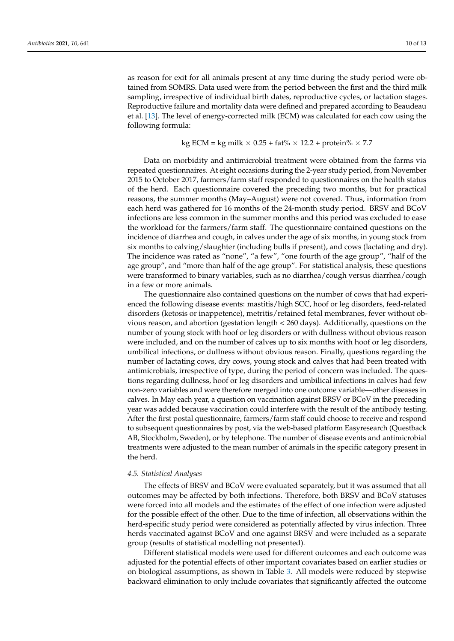as reason for exit for all animals present at any time during the study period were obtained from SOMRS. Data used were from the period between the first and the third milk sampling, irrespective of individual birth dates, reproductive cycles, or lactation stages. Reproductive failure and mortality data were defined and prepared according to Beaudeau et al. [\[13\]](#page-12-2). The level of energy-corrected milk (ECM) was calculated for each cow using the following formula:

# kg ECM = kg milk  $\times$  0.25 + fat%  $\times$  12.2 + protein%  $\times$  7.7

Data on morbidity and antimicrobial treatment were obtained from the farms via repeated questionnaires. At eight occasions during the 2-year study period, from November 2015 to October 2017, farmers/farm staff responded to questionnaires on the health status of the herd. Each questionnaire covered the preceding two months, but for practical reasons, the summer months (May–August) were not covered. Thus, information from each herd was gathered for 16 months of the 24-month study period. BRSV and BCoV infections are less common in the summer months and this period was excluded to ease the workload for the farmers/farm staff. The questionnaire contained questions on the incidence of diarrhea and cough, in calves under the age of six months, in young stock from six months to calving/slaughter (including bulls if present), and cows (lactating and dry). The incidence was rated as "none", "a few", "one fourth of the age group", "half of the age group", and "more than half of the age group". For statistical analysis, these questions were transformed to binary variables, such as no diarrhea/cough versus diarrhea/cough in a few or more animals.

The questionnaire also contained questions on the number of cows that had experienced the following disease events: mastitis/high SCC, hoof or leg disorders, feed-related disorders (ketosis or inappetence), metritis/retained fetal membranes, fever without obvious reason, and abortion (gestation length < 260 days). Additionally, questions on the number of young stock with hoof or leg disorders or with dullness without obvious reason were included, and on the number of calves up to six months with hoof or leg disorders, umbilical infections, or dullness without obvious reason. Finally, questions regarding the number of lactating cows, dry cows, young stock and calves that had been treated with antimicrobials, irrespective of type, during the period of concern was included. The questions regarding dullness, hoof or leg disorders and umbilical infections in calves had few non-zero variables and were therefore merged into one outcome variable—other diseases in calves. In May each year, a question on vaccination against BRSV or BCoV in the preceding year was added because vaccination could interfere with the result of the antibody testing. After the first postal questionnaire, farmers/farm staff could choose to receive and respond to subsequent questionnaires by post, via the web-based platform Easyresearch (Questback AB, Stockholm, Sweden), or by telephone. The number of disease events and antimicrobial treatments were adjusted to the mean number of animals in the specific category present in the herd.

# *4.5. Statistical Analyses*

The effects of BRSV and BCoV were evaluated separately, but it was assumed that all outcomes may be affected by both infections. Therefore, both BRSV and BCoV statuses were forced into all models and the estimates of the effect of one infection were adjusted for the possible effect of the other. Due to the time of infection, all observations within the herd-specific study period were considered as potentially affected by virus infection. Three herds vaccinated against BCoV and one against BRSV and were included as a separate group (results of statistical modelling not presented).

Different statistical models were used for different outcomes and each outcome was adjusted for the potential effects of other important covariates based on earlier studies or on biological assumptions, as shown in Table [3.](#page-10-0) All models were reduced by stepwise backward elimination to only include covariates that significantly affected the outcome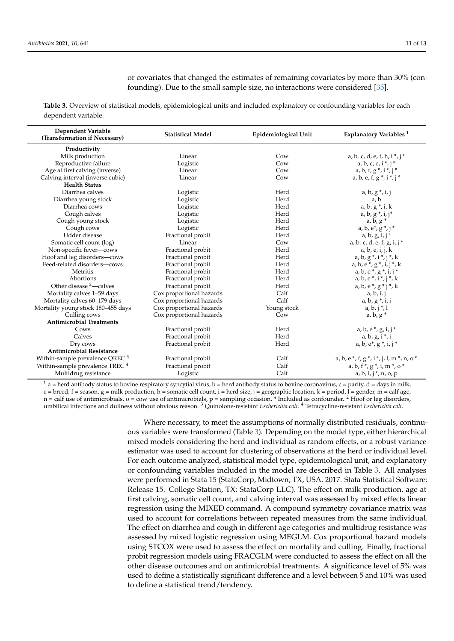or covariates that changed the estimates of remaining covariates by more than 30% (confounding). Due to the small sample size, no interactions were considered [\[35\]](#page-12-23).

<span id="page-10-0"></span>**Table 3.** Overview of statistical models, epidemiological units and included explanatory or confounding variables for each dependent variable.

| Dependent Variable<br>(Transformation if Necessary)             | <b>Statistical Model</b> | Epidemiological Unit | Explanatory Variables <sup>1</sup>                          |
|-----------------------------------------------------------------|--------------------------|----------------------|-------------------------------------------------------------|
| Productivity                                                    |                          |                      |                                                             |
| Milk production                                                 | Linear                   | Cow                  | a, b. c, d, e, f, h, $i^*$ , $j^*$                          |
| Reproductive failure                                            | Logistic                 | Cow                  | $a, b, c, e, i^*, i^*$                                      |
| Age at first calving (inverse)                                  | Linear                   | Cow                  | $a, b, f, g *, i *, j *$                                    |
| Calving interval (inverse cubic)                                | Linear                   | Cow                  | $a, b, e, f, g*, i*, j*$                                    |
| <b>Health Status</b>                                            |                          |                      |                                                             |
| Diarrhea calves                                                 | Logistic                 | Herd                 | $a, b, g*, i, j$                                            |
| Diarrhea young stock                                            | Logistic                 | Herd                 | a, b                                                        |
| Diarrhea cows                                                   | Logistic                 | Herd                 | $a, b, g*, i, k$                                            |
| Cough calves                                                    | Logistic                 | Herd                 | $a, b, g*, i, j^*$                                          |
| Cough young stock                                               | Logistic                 | Herd                 | $a, b, g^*$                                                 |
| Cough cows                                                      | Logistic                 | Herd                 | a, b, $e^*$ , $g^*$ , $j^*$                                 |
| Udder disease                                                   | Fractional probit        | Herd                 | $a, b, g, i, j^*$                                           |
| Somatic cell count (log)                                        | Linear                   | Cow                  | a, b. c, d, e, f, g, i, j $*$                               |
| Non-specific fever-cows                                         | Fractional probit        | Herd                 | a, b, e, i, j, k                                            |
| Hoof and leg disorders-cows                                     | Fractional probit        | Herd                 | $a, b, g*, i*, j*, k$                                       |
| Feed-related disorders-cows                                     | Fractional probit        | Herd                 | $a, b, e*, g*, i, j*, k$                                    |
| <b>Metritis</b>                                                 | Fractional probit        | Herd                 | $a, b, e^*, g^*, i, j^*$                                    |
| Abortions                                                       | Fractional probit        | Herd                 | $a, b, e*, i*, j*, k$                                       |
| Other disease $2$ —calves                                       | Fractional probit        | Herd                 | $a, b, e*, g * j*, k$                                       |
| Mortality calves 1-59 days                                      | Cox proportional hazards | Calf                 | a, b, i, j                                                  |
| Mortality calves 60-179 days                                    | Cox proportional hazards | Calf                 | $a, b, g*, i, j$                                            |
| Mortality young stock 180–455 days                              | Cox proportional hazards | Young stock          | $a, b, j^*$ , 1                                             |
| Culling cows                                                    | Cox proportional hazards | Cow                  | $a, b, g^*$                                                 |
| <b>Antimicrobial Treatments</b>                                 |                          |                      |                                                             |
| Cows                                                            | Fractional probit        | Herd                 | $a, b, e*, g, i, j*$                                        |
| Calves                                                          | Fractional probit        | Herd                 | $a, b, g, i^*$ , j                                          |
| Dry cows<br>Fractional probit                                   |                          | Herd                 | $a, b, e^*, g^*, i, j^*$                                    |
| <b>Antimicrobial Resistance</b>                                 |                          |                      |                                                             |
| Within-sample prevalence QREC $3$                               | Fractional probit        | Calf                 | a, b, e $*$ , f, g $*$ , i $*$ , j, l, m $*$ , n, o $*$     |
| Within-sample prevalence TREC <sup>4</sup><br>Fractional probit |                          | Calf                 | a, b, f $^{\ast},$ g $^{\ast},$ i, m $^{\ast},$ o $^{\ast}$ |
| Multidrug resistance                                            | Logistic                 | Calf                 | $a, b, i, j^*, n, o, p$                                     |

 $1$  a = herd antibody status to bovine respiratory syncytial virus, b = herd antibody status to bovine coronavirus, c = parity, d = days in milk, e = breed, f = season, g = milk production, h = somatic cell count, i = herd size, j = geographic location, k = period, l = gender, m = calf age,  $n =$  calf use of antimicrobials,  $o =$  cow use of antimicrobials,  $p =$  sampling occasion,  $*$  Included as confounder.  $2$  Hoof or leg disorders, umbilical infections and dullness without obvious reason. <sup>3</sup> Quinolone-resistant *Escherichia coli.* <sup>4</sup> Tetracycline-resistant *Escherichia coli*.

> Where necessary, to meet the assumptions of normally distributed residuals, continuous variables were transformed (Table [3\)](#page-10-0). Depending on the model type, either hierarchical mixed models considering the herd and individual as random effects, or a robust variance estimator was used to account for clustering of observations at the herd or individual level. For each outcome analyzed, statistical model type, epidemiological unit, and explanatory or confounding variables included in the model are described in Table [3.](#page-10-0) All analyses were performed in Stata 15 (StataCorp, Midtown, TX, USA. 2017. Stata Statistical Software: Release 15. College Station, TX: StataCorp LLC). The effect on milk production, age at first calving, somatic cell count, and calving interval was assessed by mixed effects linear regression using the MIXED command. A compound symmetry covariance matrix was used to account for correlations between repeated measures from the same individual. The effect on diarrhea and cough in different age categories and multidrug resistance was assessed by mixed logistic regression using MEGLM. Cox proportional hazard models using STCOX were used to assess the effect on mortality and culling. Finally, fractional probit regression models using FRACGLM were conducted to assess the effect on all the other disease outcomes and on antimicrobial treatments. A significance level of 5% was used to define a statistically significant difference and a level between 5 and 10% was used to define a statistical trend/tendency.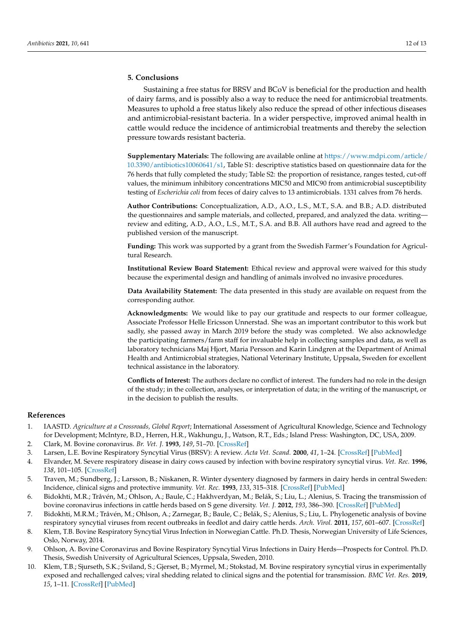# **5. Conclusions**

Sustaining a free status for BRSV and BCoV is beneficial for the production and health of dairy farms, and is possibly also a way to reduce the need for antimicrobial treatments. Measures to uphold a free status likely also reduce the spread of other infectious diseases and antimicrobial-resistant bacteria. In a wider perspective, improved animal health in cattle would reduce the incidence of antimicrobial treatments and thereby the selection pressure towards resistant bacteria.

**Supplementary Materials:** The following are available online at [https://www.mdpi.com/article/](https://www.mdpi.com/article/10.3390/antibiotics10060641/s1) [10.3390/antibiotics10060641/s1,](https://www.mdpi.com/article/10.3390/antibiotics10060641/s1) Table S1: descriptive statistics based on questionnaire data for the 76 herds that fully completed the study; Table S2: the proportion of resistance, ranges tested, cut-off values, the minimum inhibitory concentrations MIC50 and MIC90 from antimicrobial susceptibility testing of *Escherichia coli* from feces of dairy calves to 13 antimicrobials. 1331 calves from 76 herds.

**Author Contributions:** Conceptualization, A.D., A.O., L.S., M.T., S.A. and B.B.; A.D. distributed the questionnaires and sample materials, and collected, prepared, and analyzed the data. writing review and editing, A.D., A.O., L.S., M.T., S.A. and B.B. All authors have read and agreed to the published version of the manuscript.

**Funding:** This work was supported by a grant from the Swedish Farmer's Foundation for Agricultural Research.

**Institutional Review Board Statement:** Ethical review and approval were waived for this study because the experimental design and handling of animals involved no invasive procedures.

**Data Availability Statement:** The data presented in this study are available on request from the corresponding author.

**Acknowledgments:** We would like to pay our gratitude and respects to our former colleague, Associate Professor Helle Ericsson Unnerstad. She was an important contributor to this work but sadly, she passed away in March 2019 before the study was completed. We also acknowledge the participating farmers/farm staff for invaluable help in collecting samples and data, as well as laboratory technicians Maj Hjort, Maria Persson and Karin Lindgren at the Department of Animal Health and Antimicrobial strategies, National Veterinary Institute, Uppsala, Sweden for excellent technical assistance in the laboratory.

**Conflicts of Interest:** The authors declare no conflict of interest. The funders had no role in the design of the study; in the collection, analyses, or interpretation of data; in the writing of the manuscript, or in the decision to publish the results.

# **References**

- <span id="page-11-0"></span>1. IAASTD. *Agriculture at a Crossroads, Global Report*; International Assessment of Agricultural Knowledge, Science and Technology for Development; McIntyre, B.D., Herren, H.R., Wakhungu, J., Watson, R.T., Eds.; Island Press: Washington, DC, USA, 2009.
- <span id="page-11-1"></span>2. Clark, M. Bovine coronavirus. *Br. Vet. J.* **1993**, *149*, 51–70. [\[CrossRef\]](http://doi.org/10.1016/S0007-1935(05)80210-6)
- <span id="page-11-2"></span>3. Larsen, L.E. Bovine Respiratory Syncytial Virus (BRSV): A review. *Acta Vet. Scand.* **2000**, *41*, 1–24. [\[CrossRef\]](http://doi.org/10.1186/BF03549652) [\[PubMed\]](http://www.ncbi.nlm.nih.gov/pubmed/10920473)
- <span id="page-11-3"></span>4. Elvander, M. Severe respiratory disease in dairy cows caused by infection with bovine respiratory syncytial virus. *Vet. Rec.* **1996**, *138*, 101–105. [\[CrossRef\]](http://doi.org/10.1136/vr.138.5.101)
- <span id="page-11-4"></span>5. Traven, M.; Sundberg, J.; Larsson, B.; Niskanen, R. Winter dysentery diagnosed by farmers in dairy herds in central Sweden: Incidence, clinical signs and protective immunity. *Vet. Rec.* **1993**, *133*, 315–318. [\[CrossRef\]](http://doi.org/10.1136/vr.133.13.315) [\[PubMed\]](http://www.ncbi.nlm.nih.gov/pubmed/8236667)
- <span id="page-11-5"></span>6. Bidokhti, M.R.; Tråvén, M.; Ohlson, A.; Baule, C.; Hakhverdyan, M.; Belák, S.; Liu, L.; Alenius, S. Tracing the transmission of bovine coronavirus infections in cattle herds based on S gene diversity. *Vet. J.* **2012**, *193*, 386–390. [\[CrossRef\]](http://doi.org/10.1016/j.tvjl.2011.12.015) [\[PubMed\]](http://www.ncbi.nlm.nih.gov/pubmed/22750286)
- <span id="page-11-6"></span>7. Bidokhti, M.R.M.; Tråvén, M.; Ohlson, A.; Zarnegar, B.; Baule, C.; Belák, S.; Alenius, S.; Liu, L. Phylogenetic analysis of bovine respiratory syncytial viruses from recent outbreaks in feedlot and dairy cattle herds. *Arch. Virol.* **2011**, *157*, 601–607. [\[CrossRef\]](http://doi.org/10.1007/s00705-011-1209-3)
- <span id="page-11-7"></span>8. Klem, T.B. Bovine Respiratory Syncytial Virus Infection in Norwegian Cattle. Ph.D. Thesis, Norwegian University of Life Sciences, Oslo, Norway, 2014.
- <span id="page-11-8"></span>9. Ohlson, A. Bovine Coronavirus and Bovine Respiratory Syncytial Virus Infections in Dairy Herds—Prospects for Control. Ph.D. Thesis, Swedish University of Agricultural Sciences, Uppsala, Sweden, 2010.
- <span id="page-11-9"></span>10. Klem, T.B.; Sjurseth, S.K.; Sviland, S.; Gjerset, B.; Myrmel, M.; Stokstad, M. Bovine respiratory syncytial virus in experimentally exposed and rechallenged calves; viral shedding related to clinical signs and the potential for transmission. *BMC Vet. Res.* **2019**, *15*, 1–11. [\[CrossRef\]](http://doi.org/10.1186/s12917-019-1911-z) [\[PubMed\]](http://www.ncbi.nlm.nih.gov/pubmed/31109324)